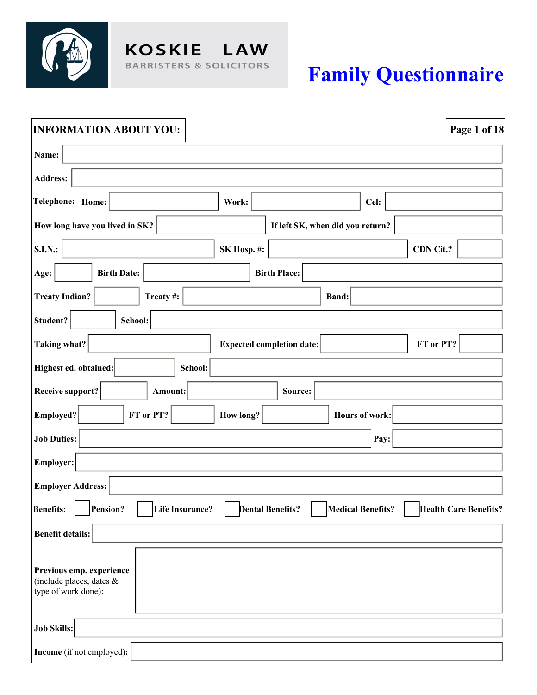

# **Family Questionnaire**

| <b>INFORMATION ABOUT YOU:</b><br>Page 1 of 18                                                              |
|------------------------------------------------------------------------------------------------------------|
| Name:                                                                                                      |
| <b>Address:</b>                                                                                            |
| Telephone: Home:<br>Cel:<br>Work:                                                                          |
| How long have you lived in SK?<br>If left SK, when did you return?                                         |
| <b>S.I.N.:</b><br>CDN Cit.?<br>SK Hosp. #:                                                                 |
| Age:<br><b>Birth Date:</b><br><b>Birth Place:</b>                                                          |
| <b>Treaty Indian?</b><br>Treaty#:<br><b>Band:</b>                                                          |
| Student?<br>School:                                                                                        |
| Taking what?<br>FT or PT?<br><b>Expected completion date:</b>                                              |
| Highest ed. obtained:<br>School:                                                                           |
| <b>Receive support?</b><br>Source:<br>Amount:                                                              |
| FT or PT?<br><b>Employed?</b><br>How long?<br>Hours of work:                                               |
| <b>Job Duties:</b><br>Pay:                                                                                 |
| <b>Employer:</b>                                                                                           |
| <b>Employer Address:</b>                                                                                   |
| Benefits: Pension? Life Insurance?<br>Medical Benefits?   Health Care Benefits?<br><b>Dental Benefits?</b> |
| <b>Benefit details:</b>                                                                                    |
| Previous emp. experience<br>(include places, dates &<br>type of work done):                                |
| <b>Job Skills:</b>                                                                                         |
| Income (if not employed):                                                                                  |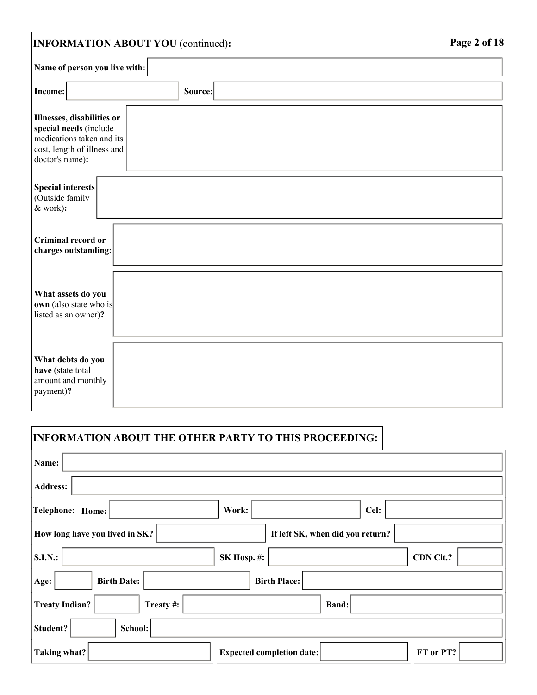|                                                                                                                                     | <b>INFORMATION ABOUT YOU</b> (continued): |  | Page 2 of 18 |  |
|-------------------------------------------------------------------------------------------------------------------------------------|-------------------------------------------|--|--------------|--|
| Name of person you live with:                                                                                                       |                                           |  |              |  |
| Income:                                                                                                                             | Source:                                   |  |              |  |
| Illnesses, disabilities or<br>special needs (include<br>medications taken and its<br>cost, length of illness and<br>doctor's name): |                                           |  |              |  |
| Special interests<br>(Outside family<br>& work):                                                                                    |                                           |  |              |  |
| Criminal record or<br>charges outstanding:                                                                                          |                                           |  |              |  |
| What assets do you<br>own (also state who is<br>listed as an owner)?                                                                |                                           |  |              |  |
| What debts do you<br>have (state total<br>amount and monthly<br>payment)?                                                           |                                           |  |              |  |

# **INFORMATION ABOUT THE OTHER PARTY TO THIS PROCEEDING:**

| Name:                              |                                               |
|------------------------------------|-----------------------------------------------|
| <b>Address:</b>                    |                                               |
| Telephone: Home:                   | Work:<br>Cel:                                 |
| How long have you lived in SK?     | If left SK, when did you return?              |
| <b>S.I.N.:</b>                     | CDN Cit.?<br>SK Hosp. #:                      |
| <b>Birth Date:</b><br>Age:         | <b>Birth Place:</b>                           |
| <b>Treaty Indian?</b><br>Treaty #: | <b>Band:</b>                                  |
| Student?<br>School:                |                                               |
| Taking what?                       | FT or PT?<br><b>Expected completion date:</b> |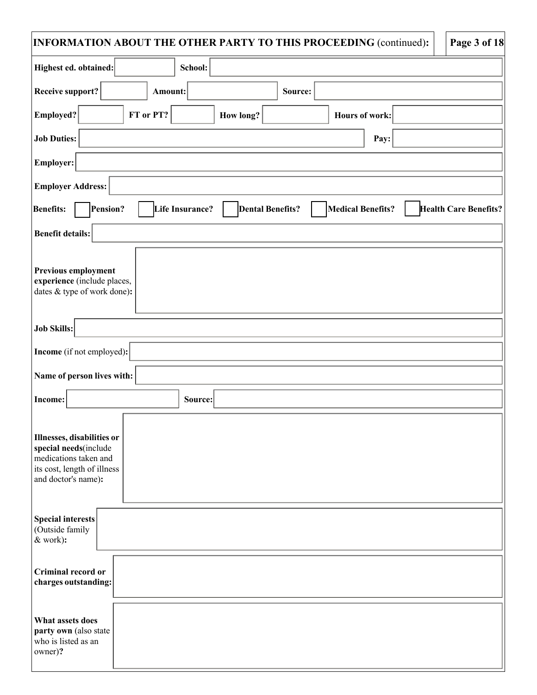| INFORMATION ABOUT THE OTHER PARTY TO THIS PROCEEDING (continued):   Page 3 of 18 |
|----------------------------------------------------------------------------------|
|----------------------------------------------------------------------------------|

| <b>Page 3 of 18</b> |  |  |
|---------------------|--|--|
|                     |  |  |

| Highest ed. obtained:<br>School:                                                                                                       |
|----------------------------------------------------------------------------------------------------------------------------------------|
| <b>Receive support?</b><br>Source:<br>Amount:                                                                                          |
| FT or PT?<br>Employed?<br><b>How long?</b><br>Hours of work:                                                                           |
| <b>Job Duties:</b><br>Pay:                                                                                                             |
| <b>Employer:</b>                                                                                                                       |
| <b>Employer Address:</b>                                                                                                               |
| Pension?<br><b>Medical Benefits?</b><br><b>Benefits:</b><br>Life Insurance?<br><b>Dental Benefits?</b><br><b>Health Care Benefits?</b> |
| <b>Benefit details:</b>                                                                                                                |
| <b>Previous employment</b><br>experience (include places,<br>dates & type of work done):                                               |
| <b>Job Skills:</b>                                                                                                                     |
| <b>Income</b> (if not employed):                                                                                                       |
| Name of person lives with:                                                                                                             |
| Income:<br>Source:                                                                                                                     |
| Illnesses, disabilities or<br>special needs(include<br>medications taken and<br>its cost, length of illness<br>and doctor's name):     |
| Special interests<br>(Outside family<br>& work):                                                                                       |
| <b>Criminal record or</b><br>charges outstanding:                                                                                      |
| What assets does<br>party own (also state<br>who is listed as an<br>owner)?                                                            |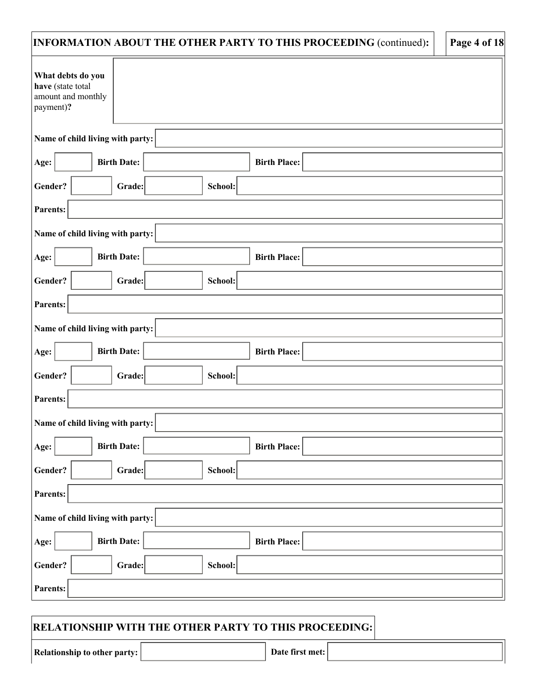| INFORMATION ABOUT THE OTHER PARTY TO THIS PROCEEDING (continued):         | Page 4 of 18 |
|---------------------------------------------------------------------------|--------------|
| What debts do you<br>have (state total<br>amount and monthly<br>payment)? |              |
| Name of child living with party:                                          |              |
| <b>Birth Date:</b><br>Age:<br><b>Birth Place:</b>                         |              |
| Gender?<br>School:<br>Grade:                                              |              |
| <b>Parents:</b>                                                           |              |
| Name of child living with party:                                          |              |
| <b>Birth Date:</b><br>Age:<br><b>Birth Place:</b>                         |              |
| Gender?<br>Grade:<br>School:                                              |              |
| <b>Parents:</b>                                                           |              |
| Name of child living with party:                                          |              |
| <b>Birth Date:</b><br>Age:<br><b>Birth Place:</b>                         |              |
| Gender?<br>Grade:<br>School:                                              |              |
| <b>Parents:</b>                                                           |              |
| Name of child living with party:                                          |              |
| <b>Birth Date:</b><br><b>Birth Place:</b><br>Age:                         |              |
| Grade:<br>Gender?<br>School:                                              |              |
| Parents:                                                                  |              |
| Name of child living with party:                                          |              |
| <b>Birth Date:</b><br>Age:<br><b>Birth Place:</b>                         |              |
| Grade:<br>Gender?<br>School:                                              |              |
| Parents:                                                                  |              |

### **RELATIONSHIP WITH THE OTHER PARTY TO THIS PROCEEDING:**

**Relationship to other party:**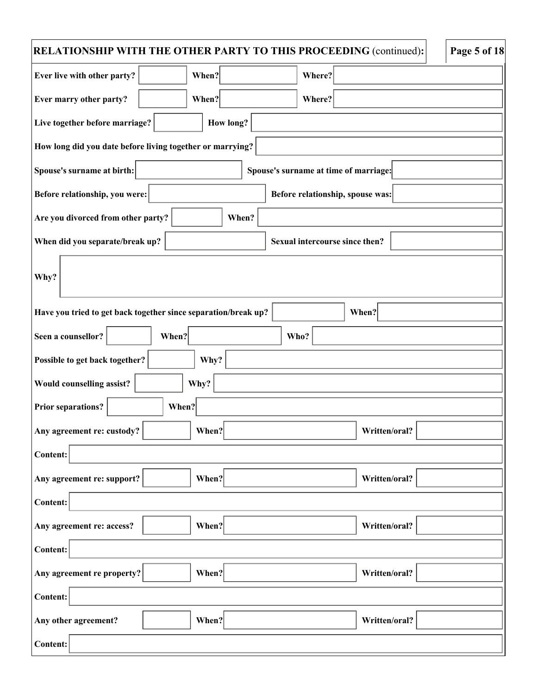| RELATIONSHIP WITH THE OTHER PARTY TO THIS PROCEEDING (continued):<br>Page 5 of 18 |                                       |  |  |  |  |
|-----------------------------------------------------------------------------------|---------------------------------------|--|--|--|--|
| When?<br>Ever live with other party?                                              | Where?                                |  |  |  |  |
| When?<br>Ever marry other party?                                                  | Where?                                |  |  |  |  |
| Live together before marriage?<br>How long?                                       |                                       |  |  |  |  |
| How long did you date before living together or marrying?                         |                                       |  |  |  |  |
| Spouse's surname at birth:                                                        | Spouse's surname at time of marriage: |  |  |  |  |
| Before relationship, you were:                                                    | Before relationship, spouse was:      |  |  |  |  |
| Are you divorced from other party?<br>When?                                       |                                       |  |  |  |  |
| When did you separate/break up?                                                   | Sexual intercourse since then?        |  |  |  |  |
| Why?                                                                              |                                       |  |  |  |  |
| Have you tried to get back together since separation/break up?                    | When?                                 |  |  |  |  |
| Seen a counsellor?<br>When?                                                       | Who?                                  |  |  |  |  |
| Possible to get back together?<br>Why?                                            |                                       |  |  |  |  |
| Would counselling assist?<br>Why?                                                 |                                       |  |  |  |  |
| <b>Prior separations?</b><br>When?                                                |                                       |  |  |  |  |
| When?<br>Any agreement re: custody?                                               | Written/oral?                         |  |  |  |  |
| <b>Content:</b>                                                                   |                                       |  |  |  |  |
| When?<br>Any agreement re: support?                                               | Written/oral?                         |  |  |  |  |
| <b>Content:</b>                                                                   |                                       |  |  |  |  |
| Any agreement re: access?<br>When?                                                | Written/oral?                         |  |  |  |  |
| <b>Content:</b>                                                                   |                                       |  |  |  |  |
| Any agreement re property?<br>When?                                               | Written/oral?                         |  |  |  |  |
| <b>Content:</b>                                                                   |                                       |  |  |  |  |
| When?<br>Any other agreement?                                                     | Written/oral?                         |  |  |  |  |
| <b>Content:</b>                                                                   |                                       |  |  |  |  |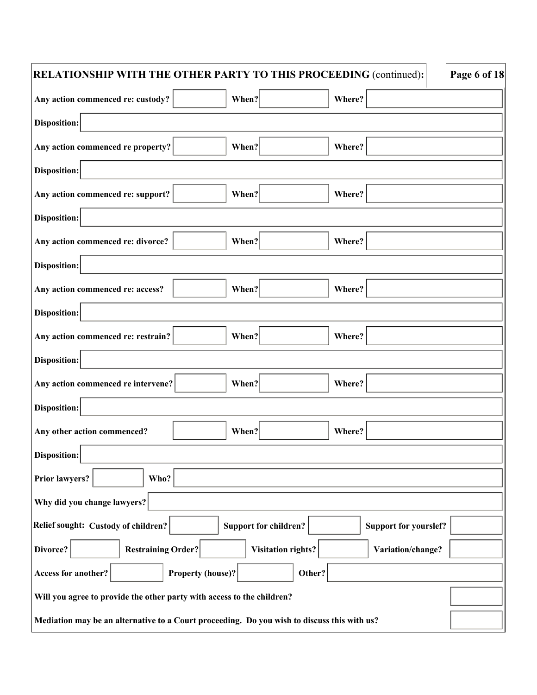| Page 6 of 18<br>RELATIONSHIP WITH THE OTHER PARTY TO THIS PROCEEDING (continued):           |                              |                              |  |  |
|---------------------------------------------------------------------------------------------|------------------------------|------------------------------|--|--|
| When?<br>Any action commenced re: custody?                                                  |                              | Where?                       |  |  |
| <b>Disposition:</b>                                                                         |                              |                              |  |  |
| Any action commenced re property?<br>When?                                                  |                              | Where?                       |  |  |
| <b>Disposition:</b>                                                                         |                              |                              |  |  |
| Any action commenced re: support?<br>When?                                                  |                              | Where?                       |  |  |
| <b>Disposition:</b>                                                                         |                              |                              |  |  |
| Any action commenced re: divorce?<br>When?                                                  |                              | Where?                       |  |  |
| <b>Disposition:</b>                                                                         |                              |                              |  |  |
| When?<br>Any action commenced re: access?                                                   |                              | Where?                       |  |  |
| <b>Disposition:</b>                                                                         |                              |                              |  |  |
| When?<br>Any action commenced re: restrain?                                                 |                              | Where?                       |  |  |
| <b>Disposition:</b>                                                                         |                              |                              |  |  |
| When?<br>Any action commenced re intervene?                                                 |                              | Where?                       |  |  |
| <b>Disposition:</b>                                                                         |                              |                              |  |  |
| When?<br>Any other action commenced?                                                        |                              | Where?                       |  |  |
| Disposition:                                                                                |                              |                              |  |  |
| <b>Prior lawyers?</b><br>Who?                                                               |                              |                              |  |  |
| Why did you change lawyers?                                                                 |                              |                              |  |  |
| Relief sought: Custody of children?                                                         | <b>Support for children?</b> | <b>Support for yourslef?</b> |  |  |
| <b>Restraining Order?</b><br>Divorce?                                                       | <b>Visitation rights?</b>    | Variation/change?            |  |  |
| Access for another?<br><b>Property (house)?</b>                                             | Other?                       |                              |  |  |
| Will you agree to provide the other party with access to the children?                      |                              |                              |  |  |
| Mediation may be an alternative to a Court proceeding. Do you wish to discuss this with us? |                              |                              |  |  |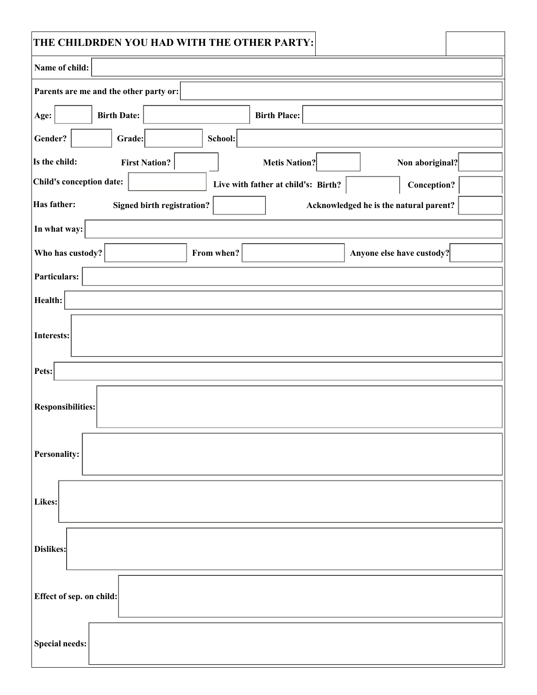| THE CHILDRDEN YOU HAD WITH THE OTHER PARTY: |                                                    |
|---------------------------------------------|----------------------------------------------------|
| Name of child:                              |                                                    |
| Parents are me and the other party or:      |                                                    |
| <b>Birth Date:</b><br>Age:                  | <b>Birth Place:</b>                                |
| Gender?<br>School:<br>Grade:                |                                                    |
| Is the child:<br><b>First Nation?</b>       | <b>Metis Nation?</b><br>Non aboriginal?            |
| Child's conception date:                    | Live with father at child's: Birth?<br>Conception? |
| Has father:<br>Signed birth registration?   | Acknowledged he is the natural parent?             |
| In what way:                                |                                                    |
| Who has custody?<br>From when?              | Anyone else have custody?                          |
| Particulars:                                |                                                    |
| Health:                                     |                                                    |
| <b>Interests:</b>                           |                                                    |
| Pets:                                       |                                                    |
| <b>Responsibilities:</b>                    |                                                    |
| Personality:                                |                                                    |
| Likes:                                      |                                                    |
| Dislikes:                                   |                                                    |
| Effect of sep. on child:                    |                                                    |
| <b>Special needs:</b>                       |                                                    |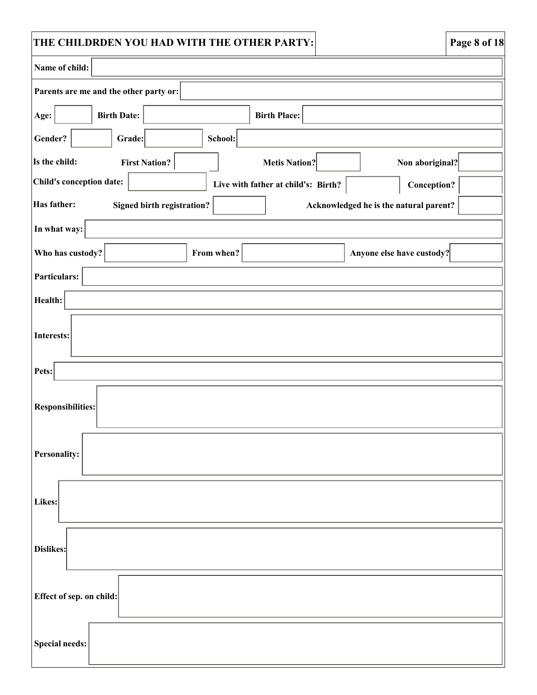| THE CHILDRDEN YOU HAD WITH THE OTHER PARTY: |                                     |                                        | Page 8 of 18 |
|---------------------------------------------|-------------------------------------|----------------------------------------|--------------|
| Name of child:                              |                                     |                                        |              |
| Parents are me and the other party or:      |                                     |                                        |              |
| <b>Birth Date:</b><br>Age:                  | <b>Birth Place:</b>                 |                                        |              |
| Gender?<br>Grade:                           | School:                             |                                        |              |
| Is the child:<br><b>First Nation?</b>       | <b>Metis Nation?</b>                | Non aboriginal?                        |              |
| Child's conception date:                    | Live with father at child's: Birth? | Conception?                            |              |
| Has father:<br>Signed birth registration?   |                                     | Acknowledged he is the natural parent? |              |
| In what way:                                |                                     |                                        |              |
| Who has custody?                            | From when?                          | Anyone else have custody?              |              |
| Particulars:                                |                                     |                                        |              |
| Health:                                     |                                     |                                        |              |
| Interests:                                  |                                     |                                        |              |
| Pets:                                       |                                     |                                        |              |
| <b>Responsibilities:</b>                    |                                     |                                        |              |
| <b>Personality:</b>                         |                                     |                                        |              |
| Likes:                                      |                                     |                                        |              |
| Dislikes:                                   |                                     |                                        |              |
| Effect of sep. on child:                    |                                     |                                        |              |
| <b>Special needs:</b>                       |                                     |                                        |              |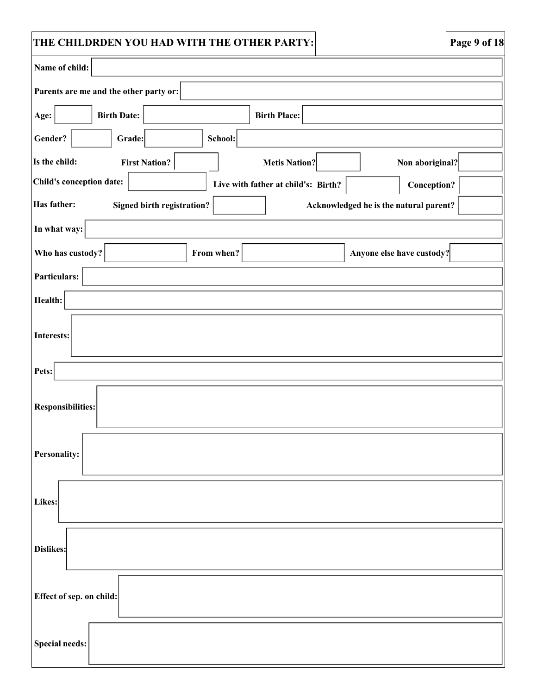| THE CHILDRDEN YOU HAD WITH THE OTHER PARTY:                                         | Page 9 of 18 |
|-------------------------------------------------------------------------------------|--------------|
| Name of child:                                                                      |              |
| Parents are me and the other party or:                                              |              |
| <b>Birth Date:</b><br>Age:<br><b>Birth Place:</b>                                   |              |
| Gender?<br>School:<br>Grade:                                                        |              |
| Is the child:<br><b>First Nation?</b><br><b>Metis Nation?</b><br>Non aboriginal?    |              |
| Child's conception date:<br>Live with father at child's: Birth?<br>Conception?      |              |
| Has father:<br>Signed birth registration?<br>Acknowledged he is the natural parent? |              |
| In what way:                                                                        |              |
| Who has custody?<br>From when?<br>Anyone else have custody?                         |              |
| Particulars:                                                                        |              |
| Health:                                                                             |              |
| Interests:                                                                          |              |
| Pets:                                                                               |              |
| <b>Responsibilities:</b>                                                            |              |
| <b>Personality:</b>                                                                 |              |
| Likes:                                                                              |              |
| Dislikes:                                                                           |              |
| Effect of sep. on child:                                                            |              |
| <b>Special needs:</b>                                                               |              |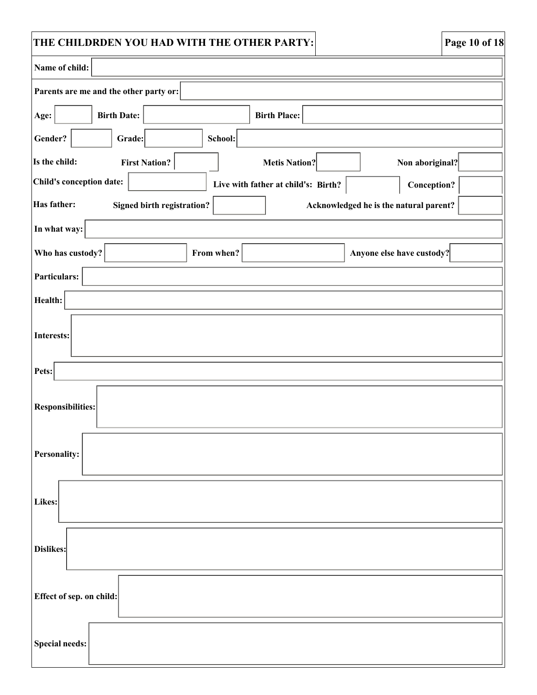| THE CHILDRDEN YOU HAD WITH THE OTHER PARTY:                                         | Page 10 of 18 |
|-------------------------------------------------------------------------------------|---------------|
| Name of child:                                                                      |               |
| Parents are me and the other party or:                                              |               |
| <b>Birth Date:</b><br>Age:<br><b>Birth Place:</b>                                   |               |
| Gender?<br>School:<br>Grade:                                                        |               |
| Is the child:<br><b>First Nation?</b><br><b>Metis Nation?</b><br>Non aboriginal?    |               |
| Child's conception date:<br>Live with father at child's: Birth?<br>Conception?      |               |
| Has father:<br>Signed birth registration?<br>Acknowledged he is the natural parent? |               |
| In what way:                                                                        |               |
| Who has custody?<br>From when?<br>Anyone else have custody?                         |               |
| Particulars:                                                                        |               |
| Health:                                                                             |               |
| Interests:                                                                          |               |
| Pets:                                                                               |               |
| <b>Responsibilities:</b>                                                            |               |
| <b>Personality:</b>                                                                 |               |
| Likes:                                                                              |               |
| Dislikes:                                                                           |               |
| Effect of sep. on child:                                                            |               |
| <b>Special needs:</b>                                                               |               |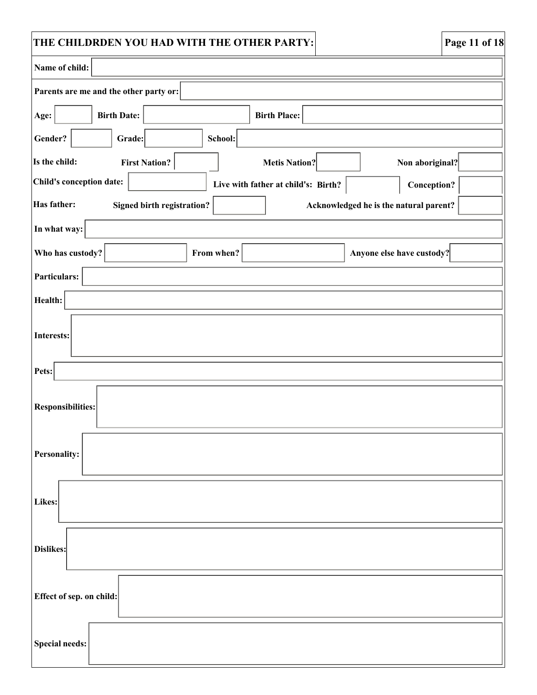| THE CHILDRDEN YOU HAD WITH THE OTHER PARTY:                                         | Page 11 of 18      |  |  |
|-------------------------------------------------------------------------------------|--------------------|--|--|
| Name of child:                                                                      |                    |  |  |
| Parents are me and the other party or:                                              |                    |  |  |
| <b>Birth Date:</b><br>Age:<br><b>Birth Place:</b>                                   |                    |  |  |
| Gender?<br>School:<br>Grade:                                                        |                    |  |  |
| Is the child:<br><b>First Nation?</b><br><b>Metis Nation?</b><br>Non aboriginal?    |                    |  |  |
| Child's conception date:<br>Live with father at child's: Birth?                     | <b>Conception?</b> |  |  |
| Has father:<br>Signed birth registration?<br>Acknowledged he is the natural parent? |                    |  |  |
| In what way:                                                                        |                    |  |  |
| Who has custody?<br>Anyone else have custody?<br>From when?                         |                    |  |  |
| Particulars:                                                                        |                    |  |  |
| Health:                                                                             |                    |  |  |
| Interests:                                                                          |                    |  |  |
| Pets:                                                                               |                    |  |  |
| <b>Responsibilities:</b>                                                            |                    |  |  |
| <b>Personality:</b>                                                                 |                    |  |  |
| Likes:                                                                              |                    |  |  |
| Dislikes:                                                                           |                    |  |  |
| Effect of sep. on child:                                                            |                    |  |  |
| <b>Special needs:</b>                                                               |                    |  |  |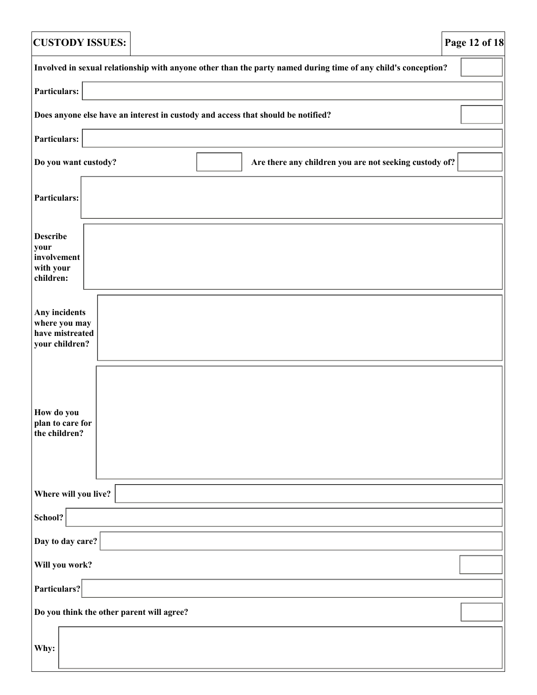| <b>CUSTODY ISSUES:</b>                                                                                        | Page 12 of 18 |  |  |  |
|---------------------------------------------------------------------------------------------------------------|---------------|--|--|--|
| Involved in sexual relationship with anyone other than the party named during time of any child's conception? |               |  |  |  |
| Particulars:                                                                                                  |               |  |  |  |
| Does anyone else have an interest in custody and access that should be notified?                              |               |  |  |  |
| Particulars:                                                                                                  |               |  |  |  |
| Are there any children you are not seeking custody of?<br>Do you want custody?                                |               |  |  |  |
| Particulars:                                                                                                  |               |  |  |  |
| <b>Describe</b><br>your<br>involvement<br>with your<br>children:                                              |               |  |  |  |
| Any incidents<br>where you may<br>have mistreated<br>your children?                                           |               |  |  |  |
| How do you<br>plan to care for<br>the children?                                                               |               |  |  |  |
| Where will you live?                                                                                          |               |  |  |  |
| School?                                                                                                       |               |  |  |  |
| Day to day care?                                                                                              |               |  |  |  |
| Will you work?                                                                                                |               |  |  |  |
| Particulars?                                                                                                  |               |  |  |  |
| Do you think the other parent will agree?                                                                     |               |  |  |  |
| Why:                                                                                                          |               |  |  |  |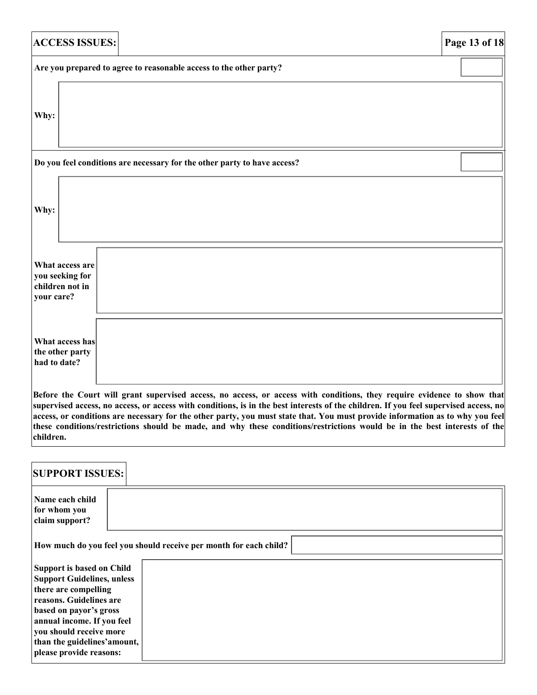| <b>ACCESS ISSUES:</b>                                                                                                   | Page 13 of 18 |
|-------------------------------------------------------------------------------------------------------------------------|---------------|
| Are you prepared to agree to reasonable access to the other party?                                                      |               |
| Why:                                                                                                                    |               |
| Do you feel conditions are necessary for the other party to have access?                                                |               |
| Why:                                                                                                                    |               |
| What access are<br>you seeking for<br>children not in<br>your care?                                                     |               |
| What access has<br>the other party<br>had to date?                                                                      |               |
| Before the Court will grant supervised access, no access, or access with conditions, they require evidence to show that |               |

**supervised access, no access, or access with conditions, is in the best interests of the children. If you feel supervised access, no access, or conditions are necessary for the other party, you must state that. You must provide information as to why you feel these conditions/restrictions should be made, and why these conditions/restrictions would be in the best interests of the children.**

| <b>SUPPORT ISSUES:</b>                                                                                                                                                                                                                                          |                                                                   |
|-----------------------------------------------------------------------------------------------------------------------------------------------------------------------------------------------------------------------------------------------------------------|-------------------------------------------------------------------|
| Name each child<br>for whom you<br>claim support?                                                                                                                                                                                                               |                                                                   |
|                                                                                                                                                                                                                                                                 | How much do you feel you should receive per month for each child? |
| Support is based on Child<br><b>Support Guidelines, unless</b><br>there are compelling<br>reasons. Guidelines are<br>based on payor's gross<br>annual income. If you feel<br>you should receive more<br>than the guidelines' amount,<br>please provide reasons: |                                                                   |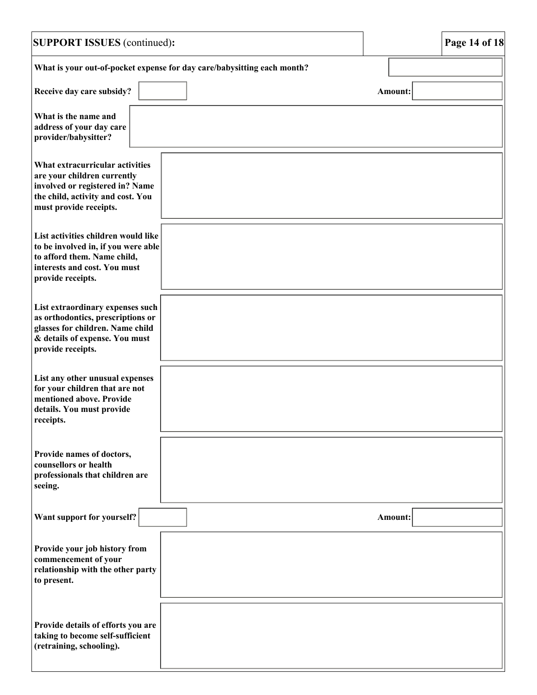| <b>SUPPORT ISSUES</b> (continued):                                                                                                                               |                                                                         |                | Page 14 of 18 |
|------------------------------------------------------------------------------------------------------------------------------------------------------------------|-------------------------------------------------------------------------|----------------|---------------|
|                                                                                                                                                                  | What is your out-of-pocket expense for day care/babysitting each month? |                |               |
| Receive day care subsidy?                                                                                                                                        |                                                                         | Amount:        |               |
| What is the name and<br>address of your day care<br>provider/babysitter?                                                                                         |                                                                         |                |               |
| What extracurricular activities<br>are your children currently<br>involved or registered in? Name<br>the child, activity and cost. You<br>must provide receipts. |                                                                         |                |               |
| List activities children would like<br>to be involved in, if you were able<br>to afford them. Name child,<br>interests and cost. You must<br>provide receipts.   |                                                                         |                |               |
| List extraordinary expenses such<br>as orthodontics, prescriptions or<br>glasses for children. Name child<br>& details of expense. You must<br>provide receipts. |                                                                         |                |               |
| List any other unusual expenses<br>for your children that are not<br>mentioned above. Provide<br>details. You must provide<br>receipts.                          |                                                                         |                |               |
| Provide names of doctors,<br>counsellors or health<br>professionals that children are<br>seeing.                                                                 |                                                                         |                |               |
| Want support for yourself?                                                                                                                                       |                                                                         | <b>Amount:</b> |               |
| Provide your job history from<br>commencement of your<br>relationship with the other party<br>to present.                                                        |                                                                         |                |               |
| Provide details of efforts you are<br>taking to become self-sufficient<br>(retraining, schooling).                                                               |                                                                         |                |               |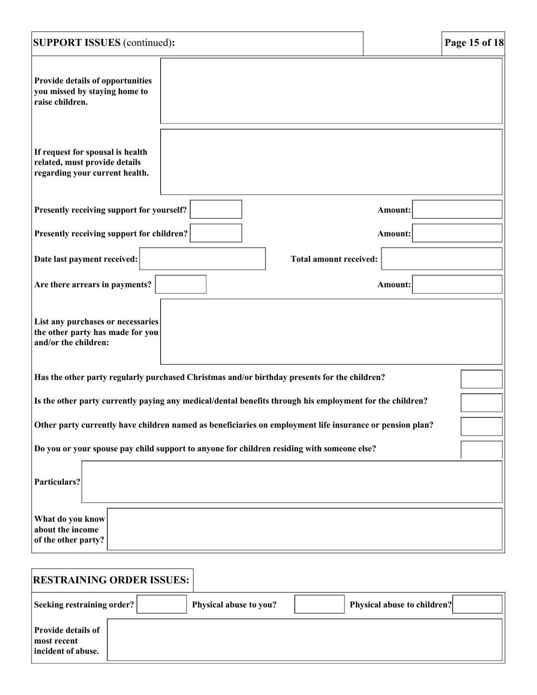| <b>SUPPORT ISSUES</b> (continued):                                                                       | Page 15 of 18                 |  |  |
|----------------------------------------------------------------------------------------------------------|-------------------------------|--|--|
| Provide details of opportunities<br>you missed by staying home to<br>raise children.                     |                               |  |  |
| If request for spousal is health<br>related, must provide details<br>regarding your current health.      |                               |  |  |
| Presently receiving support for yourself?                                                                | Amount:                       |  |  |
| Presently receiving support for children?                                                                | Amount:                       |  |  |
| Date last payment received:                                                                              | <b>Total amount received:</b> |  |  |
| Are there arrears in payments?                                                                           | Amount:                       |  |  |
| List any purchases or necessaries<br>the other party has made for you<br>and/or the children:            |                               |  |  |
| Has the other party regularly purchased Christmas and/or birthday presents for the children?             |                               |  |  |
| Is the other party currently paying any medical/dental benefits through his employment for the children? |                               |  |  |
| Other party currently have children named as beneficiaries on employment life insurance or pension plan? |                               |  |  |
| Do you or your spouse pay child support to anyone for children residing with someone else?               |                               |  |  |
| Particulars?                                                                                             |                               |  |  |
| What do you know<br>about the income<br>of the other party?                                              |                               |  |  |
| <b>RESTRAINING ORDER ISSUES:</b>                                                                         |                               |  |  |

| <b>Seeking restraining order?</b>                              | Physical abuse to you? | Physical abuse to children? |
|----------------------------------------------------------------|------------------------|-----------------------------|
| <b>Provide details of</b><br>most recent<br>incident of abuse. |                        |                             |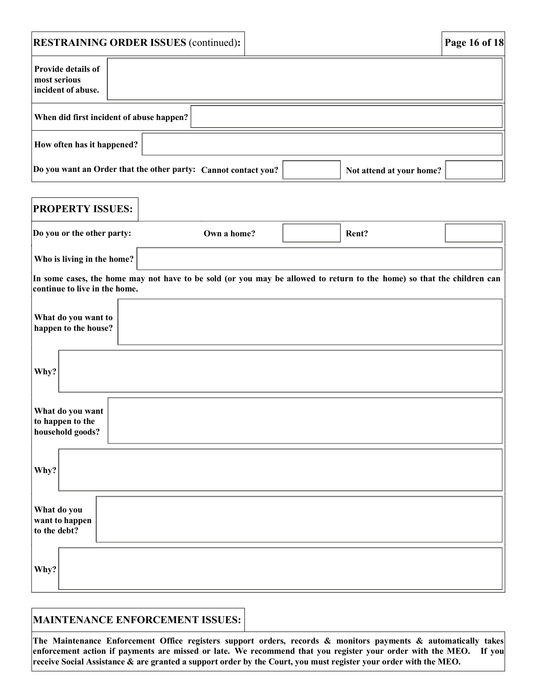|                                                                                            | <b>RESTRAINING ORDER ISSUES (continued):</b> | Page 16 of 18 |  |
|--------------------------------------------------------------------------------------------|----------------------------------------------|---------------|--|
| <b>Provide details of</b><br>most serious<br>incident of abuse.                            |                                              |               |  |
| When did first incident of abuse happen?                                                   |                                              |               |  |
| How often has it happened?                                                                 |                                              |               |  |
| Do you want an Order that the other party: Cannot contact you?<br>Not attend at your home? |                                              |               |  |

| <b>PROPERTY ISSUES:</b>                                  |                                                                                                                        |       |  |
|----------------------------------------------------------|------------------------------------------------------------------------------------------------------------------------|-------|--|
| Do you or the other party:                               | Own a home?                                                                                                            | Rent? |  |
| Who is living in the home?                               |                                                                                                                        |       |  |
| continue to live in the home.                            | In some cases, the home may not have to be sold (or you may be allowed to return to the home) so that the children can |       |  |
| What do you want to<br>happen to the house?              |                                                                                                                        |       |  |
| Why?                                                     |                                                                                                                        |       |  |
| What do you want<br>to happen to the<br>household goods? |                                                                                                                        |       |  |
| Why?                                                     |                                                                                                                        |       |  |
| What do you<br>want to happen<br>to the debt?            |                                                                                                                        |       |  |
| Why?                                                     |                                                                                                                        |       |  |

#### **MAINTENANCE ENFORCEMENT ISSUES:**

**The Maintenance Enforcement Office registers support orders, records & monitors payments & automatically takes**  enforcement action if payments are missed or late. We recommend that you register your order with the MEO. If you **receive Social Assistance & are granted a support order by the Court, you must register your order with the MEO.**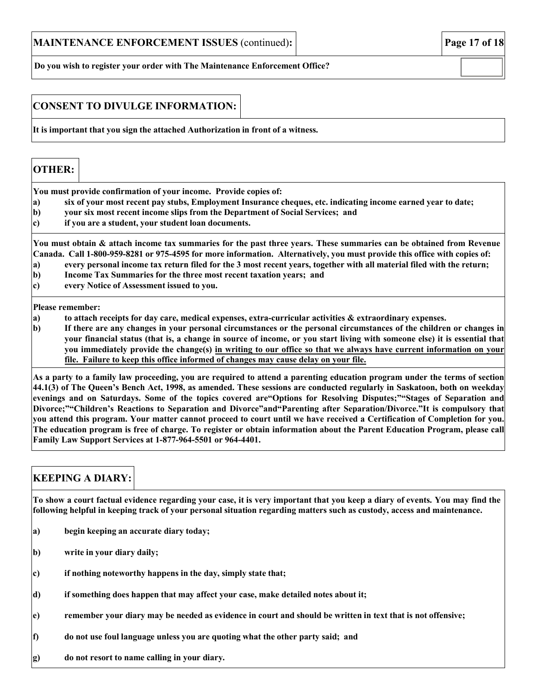**Do you wish to register your order with The Maintenance Enforcement Office?**

#### **CONSENT TO DIVULGE INFORMATION:**

**It is important that you sign the attached Authorization in front of a witness.**

#### **OTHER: You must provide confirmation of your income. Provide copies of:** a) six of your most recent pay stubs, Employment Insurance cheques, etc. indicating income earned year to date; **b) your six most recent income slips from the Department of Social Services; and c) if you are a student, your student loan documents.** You must obtain & attach income tax summaries for the past three years. These summaries can be obtained from Revenue Canada. Call 1-800-959-8281 or 975-4595 for more information. Alternatively, you must provide this office with copies of: a) every personal income tax return filed for the 3 most recent years, together with all material filed with the return; **b) Income Tax Summaries for the three most recent taxation years; and c) every Notice of Assessment issued to you. Please remember: a) to attach receipts for day care, medical expenses, extra-curricular activities & extraordinary expenses. b) If there are any changes in your personal circumstances or the personal circumstances of the children or changes in your financial status (that is, a change in source of income, or you start living with someone else) it is essential that you immediately provide the change(s) in writing to our office so that we always have current information on your file. Failure to keep this office informed of changes may cause delay on your file. As a party to a family law proceeding, you are required to attend a parenting education program under the terms of section 44.1(3) of The Queen's Bench Act, 1998, as amended. These sessions are conducted regularly in Saskatoon, both on weekday evenings and on Saturdays. Some of the topics covered are"Options for Resolving Disputes;""Stages of Separation and**

**Divorce;""Children's Reactions to Separation and Divorce"and"Parenting after Separation/Divorce."It is compulsory that you attend this program. Your matter cannot proceed to court until we have received a Certification of Completion for you. The education program is free of charge. To register or obtain information about the Parent Education Program, please call Family Law Support Services at 1-877-964-5501 or 964-4401.**

## **KEEPING A DIARY:**

**To show a court factual evidence regarding your case, it is very important that you keep a diary of events. You may find the following helpful in keeping track of your personal situation regarding matters such as custody, access and maintenance.** 

- **a) begin keeping an accurate diary today;**
- **b) write in your diary daily;**
- **c) if nothing noteworthy happens in the day, simply state that;**
- **d) if something does happen that may affect your case, make detailed notes about it;**
- **e) remember your diary may be needed as evidence in court and should be written in text that is not offensive;**
- **f) do not use foul language unless you are quoting what the other party said; and**
- **g) do not resort to name calling in your diary.**